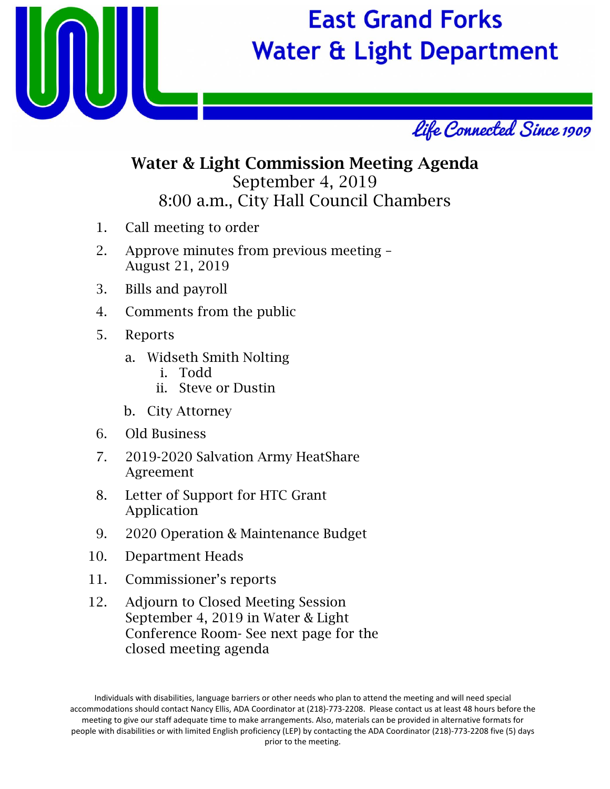

## **East Grand Forks Water & Light Department**



## Water & Light Commission Meeting Agenda September 4, 2019 8:00 a.m., City Hall Council Chambers

- 1. Call meeting to order
- 2. Approve minutes from previous meeting August 21, 2019
- 3. Bills and payroll
- 4. Comments from the public
- 5. Reports
	- a. Widseth Smith Nolting
		- i. Todd
		- ii. Steve or Dustin
	- b. City Attorney
- 6. Old Business
- 7. 2019-2020 Salvation Army HeatShare Agreement
- 8. Letter of Support for HTC Grant Application
- 9. 2020 Operation & Maintenance Budget
- 10. Department Heads
- 11. Commissioner's reports
- 12. Adjourn to Closed Meeting Session September 4, 2019 in Water & Light Conference Room- See next page for the closed meeting agenda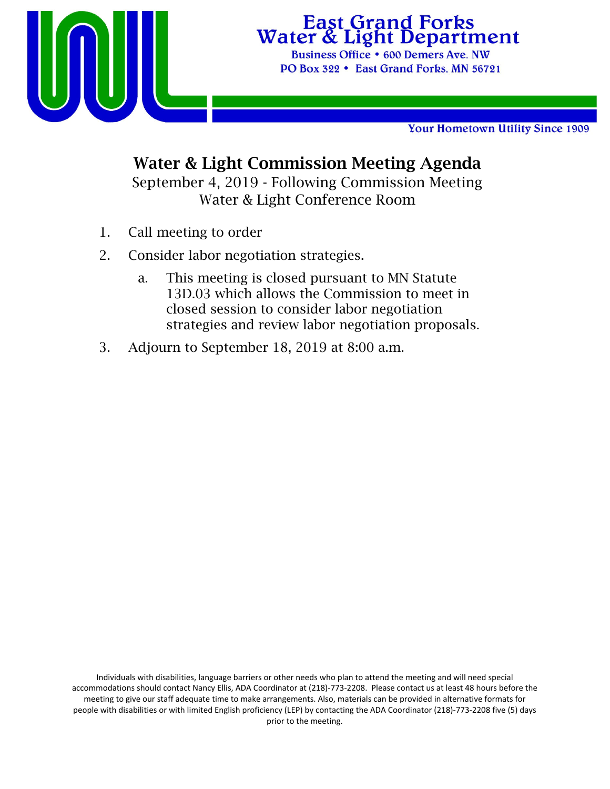

# **East Grand Forks**<br>Water & Light Department

Business Office . 600 Demers Ave. NW PO Box 322 • East Grand Forks, MN 56721

Your Hometown Utility Since 1909

## Water & Light Commission Meeting Agenda

September 4, 2019 - Following Commission Meeting Water & Light Conference Room

- 1. Call meeting to order
- 2. Consider labor negotiation strategies.
	- a. This meeting is closed pursuant to MN Statute 13D.03 which allows the Commission to meet in closed session to consider labor negotiation strategies and review labor negotiation proposals.
- 3. Adjourn to September 18, 2019 at 8:00 a.m.

Individuals with disabilities, language barriers or other needs who plan to attend the meeting and will need special accommodations should contact Nancy Ellis, ADA Coordinator at (218)‐773‐2208. Please contact us at least 48 hours before the meeting to give our staff adequate time to make arrangements. Also, materials can be provided in alternative formats for people with disabilities or with limited English proficiency (LEP) by contacting the ADA Coordinator (218)‐773‐2208 five (5) days prior to the meeting.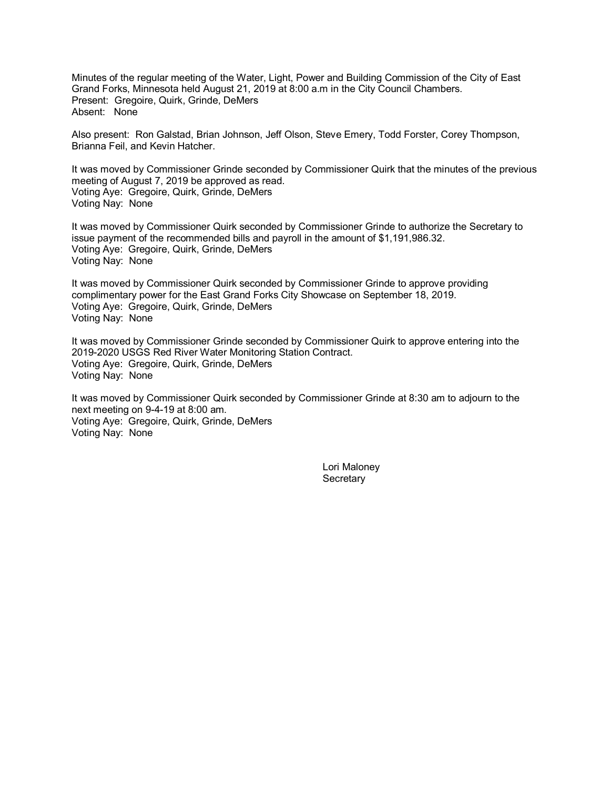Minutes of the regular meeting of the Water, Light, Power and Building Commission of the City of East Grand Forks, Minnesota held August 21, 2019 at 8:00 a.m in the City Council Chambers. Present: Gregoire, Quirk, Grinde, DeMers Absent: None

Also present: Ron Galstad, Brian Johnson, Jeff Olson, Steve Emery, Todd Forster, Corey Thompson, Brianna Feil, and Kevin Hatcher.

It was moved by Commissioner Grinde seconded by Commissioner Quirk that the minutes of the previous meeting of August 7, 2019 be approved as read. Voting Aye: Gregoire, Quirk, Grinde, DeMers Voting Nay: None

It was moved by Commissioner Quirk seconded by Commissioner Grinde to authorize the Secretary to issue payment of the recommended bills and payroll in the amount of \$1,191,986.32. Voting Aye: Gregoire, Quirk, Grinde, DeMers Voting Nay: None

It was moved by Commissioner Quirk seconded by Commissioner Grinde to approve providing complimentary power for the East Grand Forks City Showcase on September 18, 2019. Voting Aye: Gregoire, Quirk, Grinde, DeMers Voting Nay: None

It was moved by Commissioner Grinde seconded by Commissioner Quirk to approve entering into the 2019-2020 USGS Red River Water Monitoring Station Contract. Voting Aye: Gregoire, Quirk, Grinde, DeMers Voting Nay: None

It was moved by Commissioner Quirk seconded by Commissioner Grinde at 8:30 am to adjourn to the next meeting on 9-4-19 at 8:00 am. Voting Aye: Gregoire, Quirk, Grinde, DeMers Voting Nay: None

> Lori Maloney **Secretary**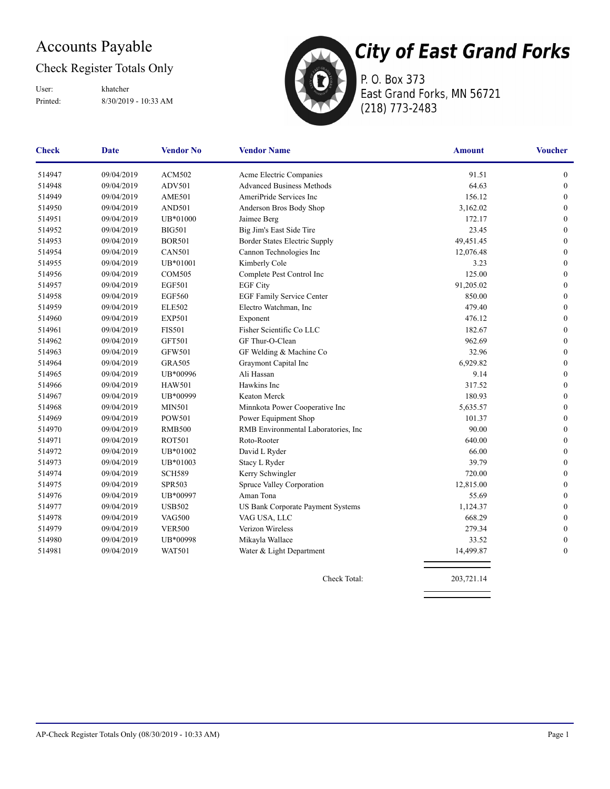## Accounts Payable

## Check Register Totals Only

Printed: 8/30/2019 - 10:33 AM User: khatcher



P. O. Box 373 East Grand Forks, MN 56721 (218) 773-2483

| <b>Check</b> | <b>Date</b> | <b>Vendor No</b> | <b>Vendor Name</b>                   | <b>Amount</b> | <b>Voucher</b>   |
|--------------|-------------|------------------|--------------------------------------|---------------|------------------|
| 514947       | 09/04/2019  | <b>ACM502</b>    | Acme Electric Companies              | 91.51         | $\boldsymbol{0}$ |
| 514948       | 09/04/2019  | ADV501           | <b>Advanced Business Methods</b>     | 64.63         | $\boldsymbol{0}$ |
| 514949       | 09/04/2019  | <b>AME501</b>    | AmeriPride Services Inc              | 156.12        | $\boldsymbol{0}$ |
| 514950       | 09/04/2019  | <b>AND501</b>    | Anderson Bros Body Shop              | 3,162.02      | $\mathbf{0}$     |
| 514951       | 09/04/2019  | UB*01000         | Jaimee Berg                          | 172.17        | $\boldsymbol{0}$ |
| 514952       | 09/04/2019  | <b>BIG501</b>    | Big Jim's East Side Tire             | 23.45         | $\mathbf{0}$     |
| 514953       | 09/04/2019  | <b>BOR501</b>    | Border States Electric Supply        | 49,451.45     | $\boldsymbol{0}$ |
| 514954       | 09/04/2019  | <b>CAN501</b>    | Cannon Technologies Inc              | 12,076.48     | $\mathbf{0}$     |
| 514955       | 09/04/2019  | UB*01001         | Kimberly Cole                        | 3.23          | $\mathbf{0}$     |
| 514956       | 09/04/2019  | <b>COM505</b>    | Complete Pest Control Inc            | 125.00        | $\mathbf{0}$     |
| 514957       | 09/04/2019  | <b>EGF501</b>    | <b>EGF City</b>                      | 91,205.02     | $\mathbf{0}$     |
| 514958       | 09/04/2019  | <b>EGF560</b>    | <b>EGF Family Service Center</b>     | 850.00        | $\mathbf{0}$     |
| 514959       | 09/04/2019  | <b>ELE502</b>    | Electro Watchman, Inc                | 479.40        | $\mathbf{0}$     |
| 514960       | 09/04/2019  | <b>EXP501</b>    | Exponent                             | 476.12        | $\boldsymbol{0}$ |
| 514961       | 09/04/2019  | <b>FIS501</b>    | Fisher Scientific Co LLC             | 182.67        | $\boldsymbol{0}$ |
| 514962       | 09/04/2019  | <b>GFT501</b>    | GF Thur-O-Clean                      | 962.69        | $\boldsymbol{0}$ |
| 514963       | 09/04/2019  | <b>GFW501</b>    | GF Welding & Machine Co              | 32.96         | $\mathbf{0}$     |
| 514964       | 09/04/2019  | <b>GRA505</b>    | Graymont Capital Inc                 | 6,929.82      | $\mathbf{0}$     |
| 514965       | 09/04/2019  | UB*00996         | Ali Hassan                           | 9.14          | $\boldsymbol{0}$ |
| 514966       | 09/04/2019  | <b>HAW501</b>    | Hawkins Inc                          | 317.52        | $\boldsymbol{0}$ |
| 514967       | 09/04/2019  | UB*00999         | Keaton Merck                         | 180.93        | $\boldsymbol{0}$ |
| 514968       | 09/04/2019  | <b>MIN501</b>    | Minnkota Power Cooperative Inc       | 5,635.57      | $\boldsymbol{0}$ |
| 514969       | 09/04/2019  | <b>POW501</b>    | Power Equipment Shop                 | 101.37        | $\boldsymbol{0}$ |
| 514970       | 09/04/2019  | <b>RMB500</b>    | RMB Environmental Laboratories, Inc. | 90.00         | $\boldsymbol{0}$ |
| 514971       | 09/04/2019  | <b>ROT501</b>    | Roto-Rooter                          | 640.00        | $\mathbf{0}$     |
| 514972       | 09/04/2019  | UB*01002         | David L Ryder                        | 66.00         | $\boldsymbol{0}$ |
| 514973       | 09/04/2019  | UB*01003         | Stacy L Ryder                        | 39.79         | $\boldsymbol{0}$ |
| 514974       | 09/04/2019  | <b>SCH589</b>    | Kerry Schwingler                     | 720.00        | $\boldsymbol{0}$ |
| 514975       | 09/04/2019  | <b>SPR503</b>    | Spruce Valley Corporation            | 12,815.00     | $\boldsymbol{0}$ |
| 514976       | 09/04/2019  | UB*00997         | Aman Tona                            | 55.69         | $\boldsymbol{0}$ |
| 514977       | 09/04/2019  | <b>USB502</b>    | US Bank Corporate Payment Systems    | 1,124.37      | $\boldsymbol{0}$ |
| 514978       | 09/04/2019  | <b>VAG500</b>    | VAG USA, LLC                         | 668.29        | $\boldsymbol{0}$ |
| 514979       | 09/04/2019  | <b>VER500</b>    | Verizon Wireless                     | 279.34        | $\boldsymbol{0}$ |
| 514980       | 09/04/2019  | UB*00998         | Mikayla Wallace                      | 33.52         | $\boldsymbol{0}$ |
| 514981       | 09/04/2019  | <b>WAT501</b>    | Water & Light Department             | 14,499.87     | $\mathbf{0}$     |

Check Total: 203,721.14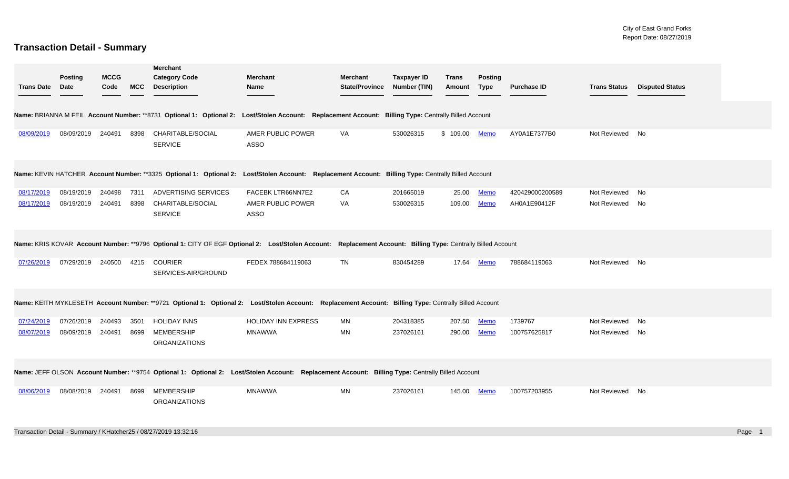## **Transaction Detail - Summary**

| <b>Trans Date</b>        | <b>Posting</b><br>Date   | <b>MCCG</b><br>Code | <b>MCC</b>   | <b>Merchant</b><br><b>Category Code</b><br><b>Description</b>    | <b>Merchant</b><br>Name                                                                                                                                      | <b>Merchant</b><br><b>State/Province</b> | <b>Taxpayer ID</b><br>Number (TIN) | <b>Trans</b><br>Amount | <b>Posting</b><br><b>Type</b> | <b>Purchase ID</b>              | <b>Trans Status</b>          | <b>Disputed Status</b> |  |
|--------------------------|--------------------------|---------------------|--------------|------------------------------------------------------------------|--------------------------------------------------------------------------------------------------------------------------------------------------------------|------------------------------------------|------------------------------------|------------------------|-------------------------------|---------------------------------|------------------------------|------------------------|--|
|                          |                          |                     |              |                                                                  | Name: BRIANNA M FEIL Account Number: **8731 Optional 1: Optional 2: Lost/Stolen Account: Replacement Account: Billing Type: Centrally Billed Account         |                                          |                                    |                        |                               |                                 |                              |                        |  |
| 08/09/2019               | 08/09/2019 240491 8398   |                     |              | CHARITABLE/SOCIAL<br><b>SERVICE</b>                              | AMER PUBLIC POWER<br><b>ASSO</b>                                                                                                                             | VA                                       | 530026315                          | \$ 109.00 Memo         |                               | AY0A1E7377B0                    | Not Reviewed No              |                        |  |
|                          |                          |                     |              |                                                                  | Name: KEVIN HATCHER Account Number: **3325 Optional 1: Optional 2: Lost/Stolen Account: Replacement Account: Billing Type: Centrally Billed Account          |                                          |                                    |                        |                               |                                 |                              |                        |  |
| 08/17/2019<br>08/17/2019 | 08/19/2019<br>08/19/2019 | 240498<br>240491    | 7311<br>8398 | ADVERTISING SERVICES<br>CHARITABLE/SOCIAL<br><b>SERVICE</b>      | FACEBK LTR66NN7E2<br>AMER PUBLIC POWER<br><b>ASSO</b>                                                                                                        | CA<br>VA                                 | 201665019<br>530026315             | 25.00<br>109.00        | <b>Memo</b><br><b>Memo</b>    | 420429000200589<br>AH0A1E90412F | Not Reviewed<br>Not Reviewed | No<br>No               |  |
|                          |                          |                     |              |                                                                  | Name: KRIS KOVAR Account Number: **9796 Optional 1: CITY OF EGF Optional 2: Lost/Stolen Account: Replacement Account: Billing Type: Centrally Billed Account |                                          |                                    |                        |                               |                                 |                              |                        |  |
| 07/26/2019               | 07/29/2019 240500        |                     | 4215         | <b>COURIER</b><br>SERVICES-AIR/GROUND                            | FEDEX 788684119063                                                                                                                                           | <b>TN</b>                                | 830454289                          | 17.64                  | Memo                          | 788684119063                    | Not Reviewed No              |                        |  |
|                          |                          |                     |              |                                                                  | Name: KEITH MYKLESETH Account Number: **9721 Optional 1: Optional 2: Lost/Stolen Account: Replacement Account: Billing Type: Centrally Billed Account        |                                          |                                    |                        |                               |                                 |                              |                        |  |
| 07/24/2019<br>08/07/2019 | 07/26/2019<br>08/09/2019 | 240493<br>240491    | 3501<br>8699 | <b>HOLIDAY INNS</b><br><b>MEMBERSHIP</b><br><b>ORGANIZATIONS</b> | <b>HOLIDAY INN EXPRESS</b><br><b>MNAWWA</b>                                                                                                                  | MN<br>MN                                 | 204318385<br>237026161             | 207.50<br>290.00       | Memo<br>Memo                  | 1739767<br>100757625817         | Not Reviewed<br>Not Reviewed | No<br>No               |  |
|                          |                          |                     |              |                                                                  | Name: JEFF OLSON Account Number: **9754 Optional 1: Optional 2: Lost/Stolen Account: Replacement Account: Billing Type: Centrally Billed Account             |                                          |                                    |                        |                               |                                 |                              |                        |  |
| 08/06/2019               | 08/08/2019               | 240491              | 8699         | <b>MEMBERSHIP</b><br><b>ORGANIZATIONS</b>                        | <b>MNAWWA</b>                                                                                                                                                | MN                                       | 237026161                          | 145.00                 | Memo                          | 100757203955                    | Not Reviewed                 | No                     |  |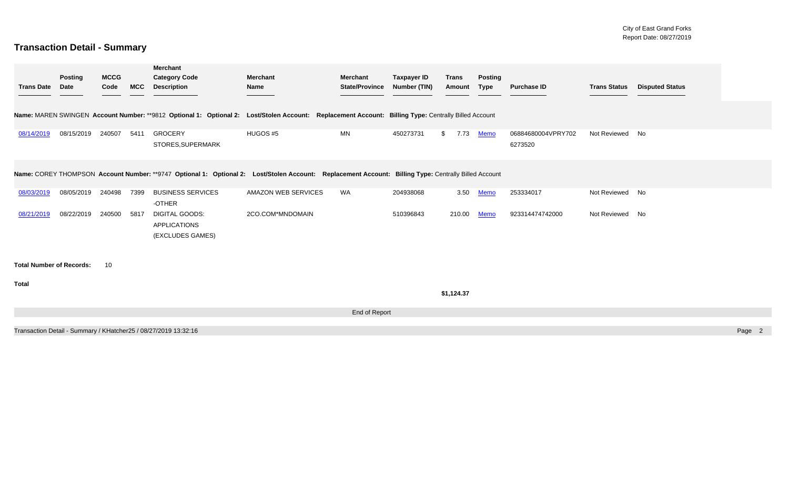## **Transaction Detail - Summary**

| <b>Trans Date</b>               | <b>Posting</b><br><b>Date</b> | <b>MCCG</b><br>Code | <b>MCC</b> | <b>Merchant</b><br><b>Category Code</b><br><b>Description</b>                                                                                        | Merchant<br>Name    | <b>Merchant</b><br><b>State/Province</b> | <b>Taxpayer ID</b><br><b>Number (TIN)</b> | <b>Trans</b><br>Amount | <b>Posting</b><br><b>Type</b> | <b>Purchase ID</b>            | <b>Trans Status</b> | <b>Disputed Status</b> |        |
|---------------------------------|-------------------------------|---------------------|------------|------------------------------------------------------------------------------------------------------------------------------------------------------|---------------------|------------------------------------------|-------------------------------------------|------------------------|-------------------------------|-------------------------------|---------------------|------------------------|--------|
|                                 |                               |                     |            | Name: MAREN SWINGEN Account Number: **9812 Optional 1: Optional 2: Lost/Stolen Account: Replacement Account: Billing Type: Centrally Billed Account  |                     |                                          |                                           |                        |                               |                               |                     |                        |        |
| 08/14/2019                      | 08/15/2019                    | 240507              | 5411       | <b>GROCERY</b><br>STORES, SUPERMARK                                                                                                                  | HUGOS #5            | MN                                       | 450273731                                 | 7.73<br>$^{\circ}$     | <b>Memo</b>                   | 06884680004VPRY702<br>6273520 | Not Reviewed No     |                        |        |
|                                 |                               |                     |            | Name: COREY THOMPSON Account Number: **9747 Optional 1: Optional 2: Lost/Stolen Account: Replacement Account: Billing Type: Centrally Billed Account |                     |                                          |                                           |                        |                               |                               |                     |                        |        |
| 08/03/2019                      | 08/05/2019                    | 240498              | 7399       | <b>BUSINESS SERVICES</b><br>-OTHER                                                                                                                   | AMAZON WEB SERVICES | WA                                       | 204938068                                 | 3.50                   | <b>Memo</b>                   | 253334017                     | Not Reviewed No     |                        |        |
| 08/21/2019                      | 08/22/2019                    | 240500              | 5817       | DIGITAL GOODS:<br><b>APPLICATIONS</b><br>(EXCLUDES GAMES)                                                                                            | 2CO.COM*MNDOMAIN    |                                          | 510396843                                 | 210.00                 | <b>Memo</b>                   | 923314474742000               | Not Reviewed No     |                        |        |
| <b>Total Number of Records:</b> |                               | 10                  |            |                                                                                                                                                      |                     |                                          |                                           |                        |                               |                               |                     |                        |        |
| <b>Total</b>                    |                               |                     |            |                                                                                                                                                      |                     |                                          |                                           | \$1,124.37             |                               |                               |                     |                        |        |
|                                 |                               |                     |            |                                                                                                                                                      |                     | End of Report                            |                                           |                        |                               |                               |                     |                        |        |
|                                 |                               |                     |            | Transaction Detail - Summary / KHatcher25 / 08/27/2019 13:32:16                                                                                      |                     |                                          |                                           |                        |                               |                               |                     |                        | Page 2 |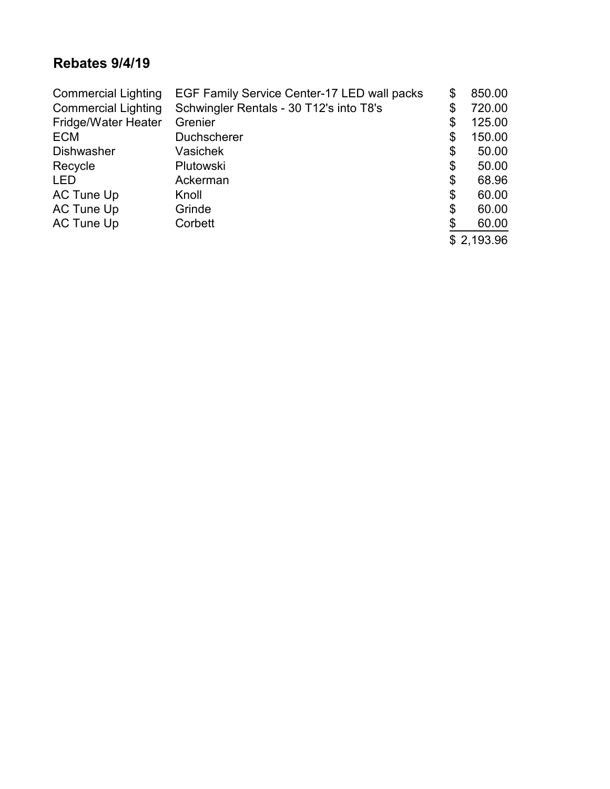## **Rebates 9/4/19**

| <b>Commercial Lighting</b> | EGF Family Service Center-17 LED wall packs | \$<br>850.00 |
|----------------------------|---------------------------------------------|--------------|
| <b>Commercial Lighting</b> | Schwingler Rentals - 30 T12's into T8's     | \$<br>720.00 |
| <b>Fridge/Water Heater</b> | Grenier                                     | \$<br>125.00 |
| <b>ECM</b>                 | <b>Duchscherer</b>                          | \$<br>150.00 |
| <b>Dishwasher</b>          | Vasichek                                    | \$<br>50.00  |
| Recycle                    | Plutowski                                   | \$<br>50.00  |
| <b>LED</b>                 | Ackerman                                    | \$<br>68.96  |
| AC Tune Up                 | Knoll                                       | \$<br>60.00  |
| AC Tune Up                 | Grinde                                      | \$<br>60.00  |
| AC Tune Up                 | Corbett                                     | \$<br>60.00  |
|                            |                                             | \$2,193.96   |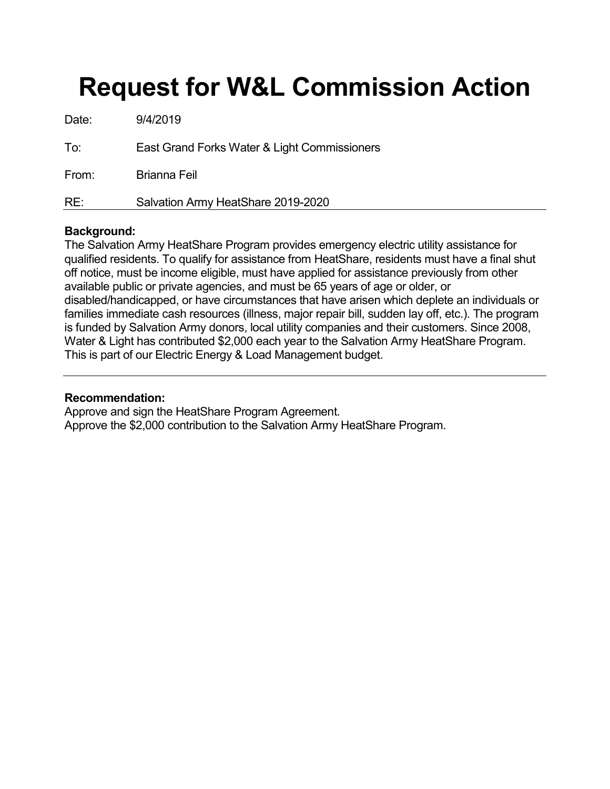## **Request for W&L Commission Action**

| Date: | 9/4/2019                                     |
|-------|----------------------------------------------|
| To:   | East Grand Forks Water & Light Commissioners |
| From: | <b>Brianna Feil</b>                          |
| RE:   | Salvation Army HeatShare 2019-2020           |

#### **Background:**

The Salvation Army HeatShare Program provides emergency electric utility assistance for qualified residents. To qualify for assistance from HeatShare, residents must have a final shut off notice, must be income eligible, must have applied for assistance previously from other available public or private agencies, and must be 65 years of age or older, or disabled/handicapped, or have circumstances that have arisen which deplete an individuals or families immediate cash resources (illness, major repair bill, sudden lay off, etc.). The program is funded by Salvation Army donors, local utility companies and their customers. Since 2008, Water & Light has contributed \$2,000 each year to the Salvation Army HeatShare Program. This is part of our Electric Energy & Load Management budget.

#### **Recommendation:**

Approve and sign the HeatShare Program Agreement. Approve the \$2,000 contribution to the Salvation Army HeatShare Program.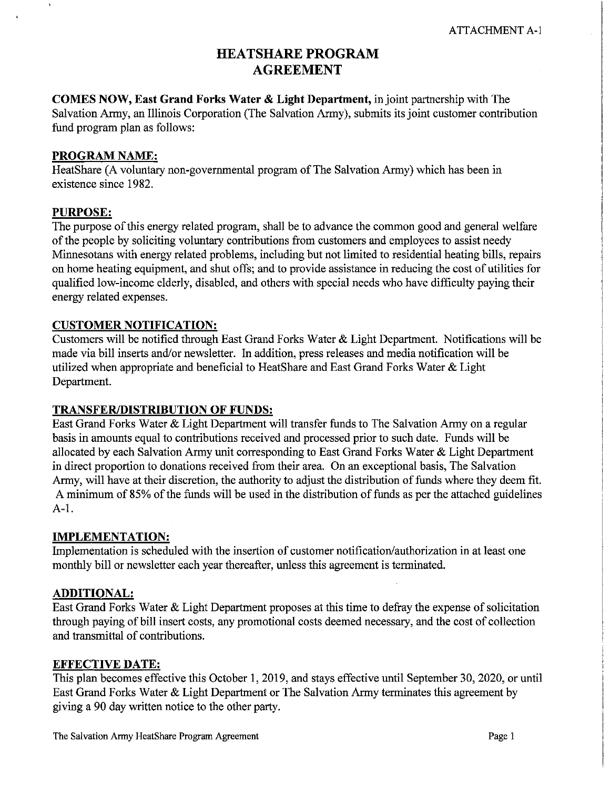## **HEATSHARE PROGRAM AGREEMENT**

**COMES NOW, East Grand Forks Water & Light Department, in joint partnership with The** Salvation Army, an Illinois Corporation (The Salvation Army), submits its joint customer contribution fund program plan as follows:

#### **PROGRAM NAME:**

HeatShare (A voluntary non-governmental program of The Salvation Army) which has been in existence since 1982.

#### **PURPOSE:**

 $\lambda$ 

The purpose of this energy related program, shall be to advance the common good and general welfare of the people by soliciting voluntary contributions from customers and employees to assist needy Minnesotans with energy related problems, including but not limited to residential heating bills, repairs on home heating equipment, and shut offs; and to provide assistance in reducing the cost of utilities for qualified low-income elderly, disabled, and others with special needs who have difficulty paying their energy related expenses.

#### **CUSTOMER NOTIFICATION:**

Customers will be notified through East Grand Forks Water & Light Department. Notifications will be made via bill inserts and/or newsletter. In addition, press releases and media notification will be utilized when appropriate and beneficial to HeatShare and East Grand Forks Water & Light Department.

#### TRANSFER/DISTRIBUTION OF FUNDS:

East Grand Forks Water & Light Department will transfer funds to The Salvation Army on a regular basis in amounts equal to contributions received and processed prior to such date. Funds will be allocated by each Salvation Army unit corresponding to East Grand Forks Water & Light Department in direct proportion to donations received from their area. On an exceptional basis, The Salvation Army, will have at their discretion, the authority to adjust the distribution of funds where they deem fit. A minimum of 85% of the funds will be used in the distribution of funds as per the attached guidelines  $A-1.$ 

#### **IMPLEMENTATION:**

Implementation is scheduled with the insertion of customer notification/authorization in at least one monthly bill or newsletter each year thereafter, unless this agreement is terminated.

#### **ADDITIONAL:**

East Grand Forks Water & Light Department proposes at this time to defray the expense of solicitation through paying of bill insert costs, any promotional costs deemed necessary, and the cost of collection and transmittal of contributions.

#### **EFFECTIVE DATE:**

This plan becomes effective this October 1, 2019, and stays effective until September 30, 2020, or until East Grand Forks Water & Light Department or The Salvation Army terminates this agreement by giving a 90 day written notice to the other party.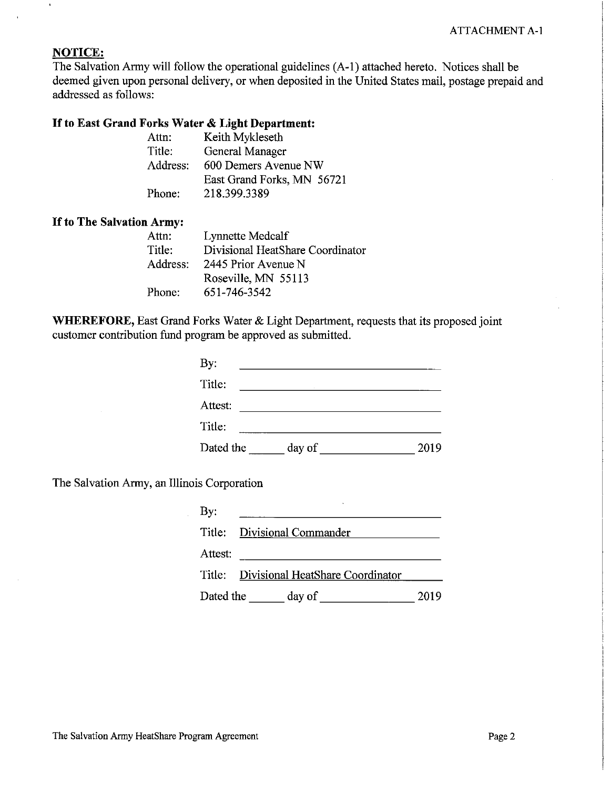## **NOTICE:**

 $\bar{\mathbf{v}}$ 

The Salvation Army will follow the operational guidelines (A-1) attached hereto. Notices shall be deemed given upon personal delivery, or when deposited in the United States mail, postage prepaid and addressed as follows:

#### If to East Grand Forks Water & Light Department:

| Keith Mykleseth            |
|----------------------------|
| General Manager            |
| 600 Demers Avenue NW       |
| East Grand Forks, MN 56721 |
| 218.399.3389               |
|                            |

#### If to The Salvation Army:

| Attn:    | Lynnette Medcalf                 |
|----------|----------------------------------|
| Title:   | Divisional HeatShare Coordinator |
| Address: | 2445 Prior Avenue N              |
|          | Roseville, MN 55113              |
| Phone:   | 651-746-3542                     |

WHEREFORE, East Grand Forks Water & Light Department, requests that its proposed joint customer contribution fund program be approved as submitted.

| By:       |        |      |
|-----------|--------|------|
| Title:    |        |      |
| Attest:   |        |      |
| Title:    |        |      |
| Dated the | day of | 2019 |

The Salvation Army, an Illinois Corporation

| $\mathbf{By:}$ |                                         |      |
|----------------|-----------------------------------------|------|
| Title:         | Divisional Commander                    |      |
| Attest:        |                                         |      |
|                | Title: Divisional HeatShare Coordinator |      |
| Dated the      | day of                                  | 2019 |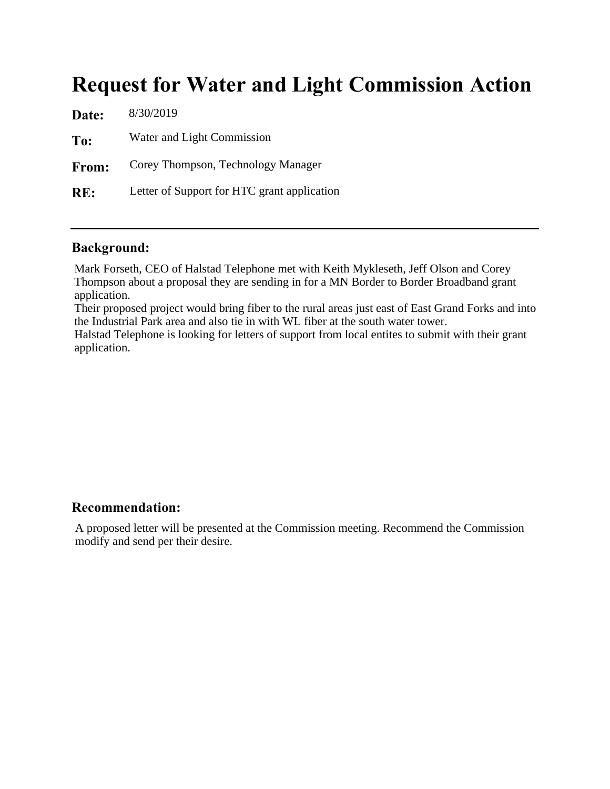## Request for Water and Light Commission Action

| 8/30/2019                                   |
|---------------------------------------------|
| Water and Light Commission                  |
| Corey Thompson, Technology Manager          |
| Letter of Support for HTC grant application |
|                                             |

## Background:

Mark Forseth, CEO of Halstad Telephone met with Keith Mykleseth, Jeff Olson and Corey Thompson about a proposal they are sending in for a MN Border to Border Broadband grant application.

Their proposed project would bring fiber to the rural areas just east of East Grand Forks and into the Industrial Park area and also tie in with WL fiber at the south water tower.

Halstad Telephone is looking for letters of support from local entites to submit with their grant application.

### Recommendation:

A proposed letter will be presented at the Commission meeting. Recommend the Commission modify and send per their desire.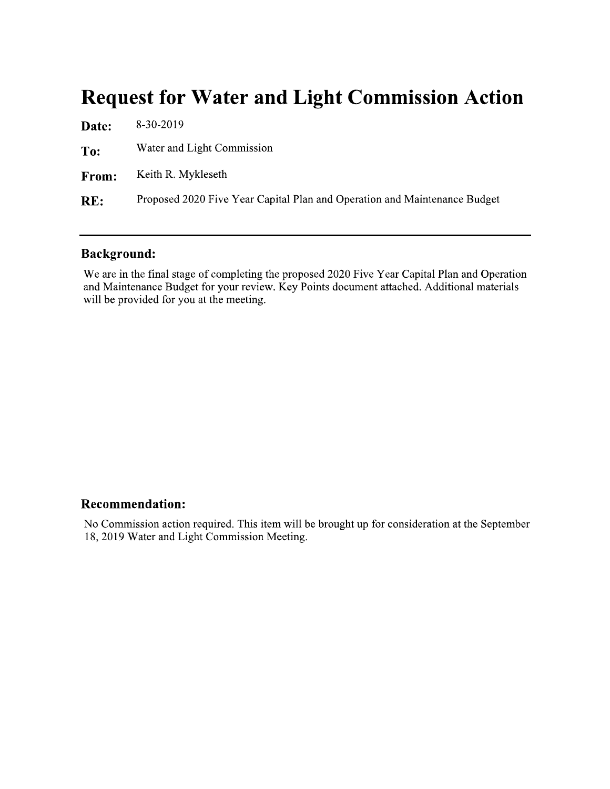## **Request for Water and Light Commission Action**

| Date: | 8-30-2019                                                                 |
|-------|---------------------------------------------------------------------------|
| To:   | Water and Light Commission                                                |
| From: | Keith R. Mykleseth                                                        |
| RE:   | Proposed 2020 Five Year Capital Plan and Operation and Maintenance Budget |

## **Background:**

We are in the final stage of completing the proposed 2020 Five Year Capital Plan and Operation and Maintenance Budget for your review. Key Points document attached. Additional materials will be provided for you at the meeting.

#### **Recommendation:**

No Commission action required. This item will be brought up for consideration at the September 18, 2019 Water and Light Commission Meeting.